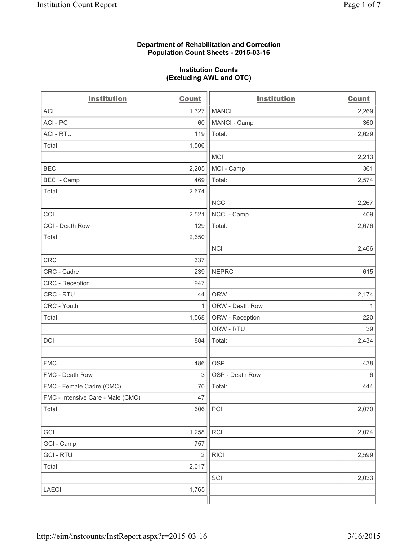## **Department of Rehabilitation and Correction Population Count Sheets - 2015-03-16**

## **Institution Counts (Excluding AWL and OTC)**

| <b>Institution</b>                | <b>Count</b> | <b>Institution</b> | <b>Count</b> |
|-----------------------------------|--------------|--------------------|--------------|
| <b>ACI</b>                        | 1,327        | <b>MANCI</b>       | 2,269        |
| ACI-PC                            | 60           | MANCI - Camp       | 360          |
| <b>ACI - RTU</b>                  | 119          | Total:             | 2,629        |
| Total:                            | 1,506        |                    |              |
|                                   |              | <b>MCI</b>         | 2,213        |
| <b>BECI</b>                       | 2,205        | MCI - Camp         | 361          |
| <b>BECI - Camp</b>                | 469          | Total:             | 2,574        |
| Total:                            | 2,674        |                    |              |
|                                   |              | <b>NCCI</b>        | 2,267        |
| CCI                               | 2,521        | NCCI - Camp        | 409          |
| CCI - Death Row                   | 129          | Total:             | 2,676        |
| Total:                            | 2,650        |                    |              |
|                                   |              | <b>NCI</b>         | 2,466        |
| <b>CRC</b>                        | 337          |                    |              |
| CRC - Cadre                       | 239          | <b>NEPRC</b>       | 615          |
| CRC - Reception                   | 947          |                    |              |
| CRC - RTU                         | 44           | <b>ORW</b>         | 2,174        |
| CRC - Youth                       | 1            | ORW - Death Row    | 1            |
| Total:                            | 1,568        | ORW - Reception    | 220          |
|                                   |              | ORW - RTU          | 39           |
| DCI                               | 884          | Total:             | 2,434        |
|                                   |              |                    |              |
| <b>FMC</b>                        | 486          | <b>OSP</b>         | 438          |
| FMC - Death Row                   | 3            | OSP - Death Row    | 6            |
| FMC - Female Cadre (CMC)          | 70           | Total:             | 444          |
| FMC - Intensive Care - Male (CMC) | 47           |                    |              |
| Total:                            | 606          | PCI                | 2,070        |
|                                   |              |                    |              |
| GCI                               | 1,258        | RCI                | 2,074        |
| GCI - Camp                        | 757          |                    |              |
| <b>GCI - RTU</b>                  | $\sqrt{2}$   | <b>RICI</b>        | 2,599        |
| Total:                            | 2,017        |                    |              |
|                                   |              | SCI                | 2,033        |
| LAECI                             | 1,765        |                    |              |
|                                   |              |                    |              |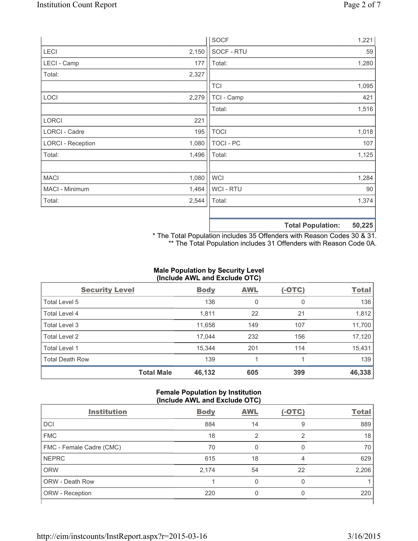|                          |       | <b>SOCF</b>      | 1,221                       |
|--------------------------|-------|------------------|-----------------------------|
| LECI                     | 2,150 | SOCF - RTU       | 59                          |
| LECI - Camp              | 177   | Total:           | 1,280                       |
| Total:                   | 2,327 |                  |                             |
|                          |       | <b>TCI</b>       | 1,095                       |
| LOCI                     | 2,279 | TCI - Camp       | 421                         |
|                          |       | Total:           | 1,516                       |
| LORCI                    | 221   |                  |                             |
| LORCI - Cadre            | 195   | <b>TOCI</b>      | 1,018                       |
| <b>LORCI - Reception</b> | 1,080 | <b>TOCI - PC</b> | 107                         |
| Total:                   | 1,496 | Total:           | 1,125                       |
|                          |       |                  |                             |
| <b>MACI</b>              | 1,080 | <b>WCI</b>       | 1,284                       |
| MACI - Minimum           | 1,464 | WCI - RTU        | 90                          |
| Total:                   | 2,544 | Total:           | 1,374                       |
|                          |       |                  |                             |
|                          |       |                  | ED ODE<br>Tatal Damilations |

**Total Population: 50,225**

\* The Total Population includes 35 Offenders with Reason Codes 30 & 31. \*\* The Total Population includes 31 Offenders with Reason Code 0A.

# **Male Population by Security Level (Include AWL and Exclude OTC)**

| <b>Security Level</b>  |                   | <b>Body</b> | <b>AWL</b> | $(-OTC)$ | <b>Total</b> |
|------------------------|-------------------|-------------|------------|----------|--------------|
| Total Level 5          |                   | 136         | 0          | 0        | 136          |
| <b>Total Level 4</b>   |                   | 1,811       | 22         | 21       | 1,812        |
| Total Level 3          |                   | 11,658      | 149        | 107      | 11,700       |
| Total Level 2          |                   | 17,044      | 232        | 156      | 17,120       |
| <b>Total Level 1</b>   |                   | 15,344      | 201        | 114      | 15,431       |
| <b>Total Death Row</b> |                   | 139         | 1          |          | 139          |
|                        | <b>Total Male</b> | 46,132      | 605        | 399      | 46,338       |

#### **Female Population by Institution (Include AWL and Exclude OTC)**

| <b>Institution</b>       | <b>Body</b> | <b>AWL</b> | $(-OTC)$ | <b>Total</b> |
|--------------------------|-------------|------------|----------|--------------|
| <b>DCI</b>               | 884         | 14         | 9        | 889          |
| <b>FMC</b>               | 18          | ာ          | っ        | 18           |
| FMC - Female Cadre (CMC) | 70          | 0          | 0        | 70           |
| <b>NEPRC</b>             | 615         | 18         | 4        | 629          |
| <b>ORW</b>               | 2,174       | 54         | 22       | 2,206        |
| <b>ORW - Death Row</b>   |             | 0          | 0        |              |
| ORW - Reception          | 220         |            | 0        | 220          |
|                          |             |            |          |              |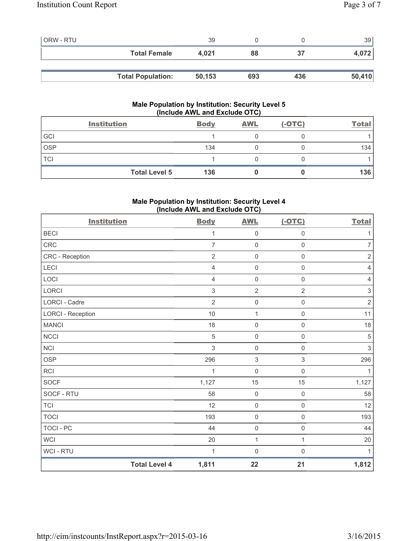| <b>ORW - RTU</b> |                          | 39     |     |     | 39     |
|------------------|--------------------------|--------|-----|-----|--------|
|                  | <b>Total Female</b>      | 4.021  | 88  | 37  | 4,072  |
|                  |                          |        |     |     |        |
|                  | <b>Total Population:</b> | 50,153 | 693 | 436 | 50,410 |

# **Male Population by Institution: Security Level 5 (Include AWL and Exclude OTC)**

|            | <b>Institution</b>   | <b>Body</b> | <b>AWL</b> | $(-OTC)$ | <b>Total</b> |
|------------|----------------------|-------------|------------|----------|--------------|
| GCI        |                      |             |            |          |              |
| <b>OSP</b> |                      | 134         |            |          | 134          |
| TCI        |                      |             |            |          |              |
|            | <b>Total Level 5</b> | 136         |            |          | 136          |

# **Male Population by Institution: Security Level 4 (Include AWL and Exclude OTC)**

| <b>Institution</b>       |                      | <b>Body</b>    | <b>AWL</b>          | $(-OTC)$            | <b>Total</b>              |
|--------------------------|----------------------|----------------|---------------------|---------------------|---------------------------|
| <b>BECI</b>              |                      | 1              | $\mathsf{O}\xspace$ | $\mathsf{O}\xspace$ | $\mathbf{1}$              |
| <b>CRC</b>               |                      | $\overline{7}$ | $\mathsf{O}\xspace$ | $\mathsf{O}\xspace$ | $\overline{7}$            |
| CRC - Reception          |                      | $\overline{2}$ | $\mathsf 0$         | $\mathsf{O}\xspace$ | $\sqrt{2}$                |
| LECI                     |                      | 4              | $\mathsf{O}\xspace$ | $\mathsf{O}\xspace$ | $\overline{4}$            |
| LOCI                     |                      | 4              | $\mathsf{O}\xspace$ | $\mathsf{O}\xspace$ | $\overline{4}$            |
| <b>LORCI</b>             |                      | 3              | $\overline{2}$      | $\overline{2}$      | $\ensuremath{\mathsf{3}}$ |
| LORCI - Cadre            |                      | $\overline{2}$ | $\mathsf{O}\xspace$ | $\mathsf{O}\xspace$ | $\sqrt{2}$                |
| <b>LORCI - Reception</b> |                      | 10             | $\mathbf{1}$        | $\mathsf{O}\xspace$ | 11                        |
| <b>MANCI</b>             |                      | 18             | $\mathbf 0$         | $\mathsf{O}\xspace$ | 18                        |
| <b>NCCI</b>              |                      | 5              | $\mathsf{O}\xspace$ | $\mathsf{O}\xspace$ | $\sqrt{5}$                |
| <b>NCI</b>               |                      | 3              | $\mathsf{O}\xspace$ | $\mathsf{O}\xspace$ | $\mathsf 3$               |
| <b>OSP</b>               |                      | 296            | $\sqrt{3}$          | $\mathfrak{S}$      | 296                       |
| <b>RCI</b>               |                      | 1              | $\mathsf{O}\xspace$ | $\mathsf{O}\xspace$ | 1                         |
| <b>SOCF</b>              |                      | 1,127          | 15                  | 15                  | 1,127                     |
| SOCF - RTU               |                      | 58             | $\mathbf 0$         | $\mathsf{O}\xspace$ | 58                        |
| <b>TCI</b>               |                      | 12             | $\mathsf 0$         | $\mathsf 0$         | 12                        |
| <b>TOCI</b>              |                      | 193            | $\mathsf{O}\xspace$ | $\mathsf{O}\xspace$ | 193                       |
| <b>TOCI - PC</b>         |                      | 44             | $\mathbf 0$         | $\mathsf{O}\xspace$ | 44                        |
| <b>WCI</b>               |                      | 20             | 1                   | $\mathbf{1}$        | 20                        |
| WCI - RTU                |                      | 1              | $\mathsf{O}\xspace$ | $\mathsf{O}\xspace$ | $\mathbf{1}$              |
|                          | <b>Total Level 4</b> | 1,811          | 22                  | 21                  | 1,812                     |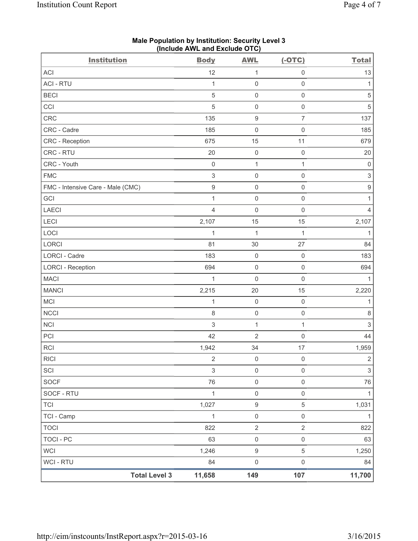| <b>Institution</b>                | $($ mcluut $R$ ive and excluut $O(O)$<br><b>Body</b> | <b>AWL</b>              | $(-OTC)$            | <b>Total</b>              |
|-----------------------------------|------------------------------------------------------|-------------------------|---------------------|---------------------------|
| ACI                               | 12                                                   | $\mathbf 1$             | $\mathsf{O}\xspace$ | 13                        |
| <b>ACI - RTU</b>                  | $\mathbf{1}$                                         | $\mathsf 0$             | $\mathsf 0$         | 1                         |
| <b>BECI</b>                       | $\sqrt{5}$                                           | $\mathbf 0$             | $\mathsf{O}\xspace$ | $\,$ 5 $\,$               |
| CCI                               | 5                                                    | $\mathsf{O}\xspace$     | $\mathsf 0$         | $\sqrt{5}$                |
| CRC                               | 135                                                  | $\boldsymbol{9}$        | $\overline{7}$      | 137                       |
| CRC - Cadre                       | 185                                                  | $\mathsf{O}\xspace$     | $\mathsf 0$         | 185                       |
| CRC - Reception                   | 675                                                  | 15                      | 11                  | 679                       |
| CRC - RTU                         | 20                                                   | $\mathsf{O}\xspace$     | $\mathsf 0$         | 20                        |
| CRC - Youth                       | $\mathsf 0$                                          | $\mathbf 1$             | $\mathbf{1}$        | $\mathsf{O}\xspace$       |
| <b>FMC</b>                        | $\ensuremath{\mathsf{3}}$                            | $\mathsf{O}\xspace$     | $\mathsf{O}\xspace$ | $\ensuremath{\mathsf{3}}$ |
| FMC - Intensive Care - Male (CMC) | $\boldsymbol{9}$                                     | $\mathbf 0$             | $\mathsf 0$         | $\boldsymbol{9}$          |
| GCI                               | $\mathbf{1}$                                         | $\mathsf{O}\xspace$     | $\mathsf 0$         | 1                         |
| <b>LAECI</b>                      | $\overline{4}$                                       | $\mathbf 0$             | $\mathbf 0$         | 4                         |
| LECI                              | 2,107                                                | 15                      | 15                  | 2,107                     |
| LOCI                              | $\mathbf 1$                                          | $\mathbf 1$             | $\mathbf{1}$        | $\mathbf{1}$              |
| LORCI                             | 81                                                   | 30                      | 27                  | 84                        |
| <b>LORCI - Cadre</b>              | 183                                                  | $\mathbf 0$             | $\mathsf 0$         | 183                       |
| <b>LORCI - Reception</b>          | 694                                                  | $\mathbf 0$             | $\mathsf{O}\xspace$ | 694                       |
| <b>MACI</b>                       | $\mathbf{1}$                                         | $\mathbf 0$             | $\mathsf 0$         | $\mathbf{1}$              |
| <b>MANCI</b>                      | 2,215                                                | 20                      | 15                  | 2,220                     |
| MCI                               | $\mathbf{1}$                                         | $\mathbf 0$             | $\mathsf 0$         | 1                         |
| <b>NCCI</b>                       | $\,8\,$                                              | $\mathsf{O}\xspace$     | $\mathsf 0$         | $\,8\,$                   |
| <b>NCI</b>                        | $\mathfrak{S}$                                       | $\mathbf{1}$            | $\mathbf{1}$        | $\mathsf 3$               |
| PCI                               | 42                                                   | $\overline{2}$          | $\mathsf{O}\xspace$ | 44                        |
| RCI                               | 1,942                                                | 34                      | 17                  | 1,959                     |
| <b>RICI</b>                       | $\sqrt{2}$                                           | $\mathsf 0$             | $\mathsf{O}\xspace$ | $\overline{c}$            |
| SCI                               | $\sqrt{3}$                                           | $\mathsf{O}\xspace$     | $\mathsf{O}\xspace$ | $\sqrt{3}$                |
| <b>SOCF</b>                       | 76                                                   | $\mathsf{O}\xspace$     | $\mathsf 0$         | 76                        |
| SOCF - RTU                        | $\mathbf{1}$                                         | $\mathsf{O}\xspace$     | $\mathsf{O}\xspace$ | $\mathbf{1}$              |
| <b>TCI</b>                        | 1,027                                                | $\hbox{9}$              | $\sqrt{5}$          | 1,031                     |
| TCI - Camp                        | $\mathbf{1}$                                         | $\mathsf{O}\xspace$     | $\mathsf{O}\xspace$ | $\mathbf{1}$              |
| <b>TOCI</b>                       | 822                                                  | $\overline{\mathbf{c}}$ | $\sqrt{2}$          | 822                       |
| <b>TOCI - PC</b>                  | 63                                                   | $\mathbf 0$             | $\mathsf 0$         | 63                        |
| <b>WCI</b>                        | 1,246                                                | $\boldsymbol{9}$        | $\,$ 5 $\,$         | 1,250                     |
| WCI - RTU                         | 84                                                   | $\mathbf 0$             | $\mathsf{O}\xspace$ | 84                        |
| <b>Total Level 3</b>              | 11,658                                               | 149                     | 107                 | 11,700                    |

**Male Population by Institution: Security Level 3 (Include AWL and Exclude OTC)**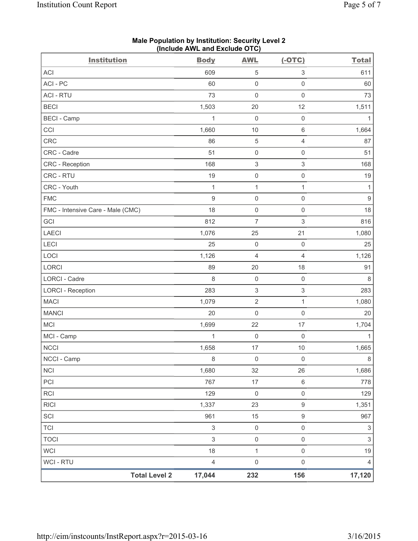| <b>Institution</b>                | <b>Body</b>                    | <b>AWL</b>                | $(-OTC)$                  | <b>Total</b>     |
|-----------------------------------|--------------------------------|---------------------------|---------------------------|------------------|
| ACI                               | 609                            | 5                         | $\ensuremath{\mathsf{3}}$ | 611              |
| ACI-PC                            | 60                             | $\mathsf{O}\xspace$       | $\mathsf{O}\xspace$       | 60               |
| <b>ACI - RTU</b>                  | 73                             | $\mathsf{O}\xspace$       | $\mathbf 0$               | 73               |
| <b>BECI</b>                       | 1,503                          | 20                        | 12                        | 1,511            |
| <b>BECI - Camp</b>                | 1                              | $\mathsf{O}\xspace$       | $\mathsf{O}\xspace$       | 1                |
| CCI                               | 1,660                          | $10$                      | $\,6\,$                   | 1,664            |
| CRC                               | 86                             | $\,$ 5 $\,$               | $\overline{4}$            | 87               |
| CRC - Cadre                       | 51                             | 0                         | $\mathsf 0$               | 51               |
| CRC - Reception                   | 168                            | $\ensuremath{\mathsf{3}}$ | $\ensuremath{\mathsf{3}}$ | 168              |
| CRC - RTU                         | 19                             | $\mathsf{O}\xspace$       | $\mathsf 0$               | 19               |
| CRC - Youth                       | 1                              | 1                         | $\mathbf{1}$              | $\mathbf{1}$     |
| <b>FMC</b>                        | $\mathsf g$                    | $\mathsf{O}\xspace$       | $\mathsf{O}\xspace$       | $\boldsymbol{9}$ |
| FMC - Intensive Care - Male (CMC) | 18                             | $\mathsf{O}\xspace$       | $\mathsf 0$               | 18               |
| GCI                               | 812                            | $\overline{7}$            | $\,$ 3 $\,$               | 816              |
| <b>LAECI</b>                      | 1,076                          | 25                        | 21                        | 1,080            |
| LECI                              | 25                             | $\mathsf{O}\xspace$       | $\mathsf 0$               | 25               |
| LOCI                              | 1,126                          | 4                         | $\overline{4}$            | 1,126            |
| LORCI                             | 89                             | 20                        | 18                        | 91               |
| <b>LORCI - Cadre</b>              | 8                              | $\mathsf{O}\xspace$       | $\mathsf{O}\xspace$       | 8                |
| <b>LORCI - Reception</b>          | 283                            | $\ensuremath{\mathsf{3}}$ | $\ensuremath{\mathsf{3}}$ | 283              |
| <b>MACI</b>                       | 1,079                          | $\sqrt{2}$                | $\mathbf{1}$              | 1,080            |
| <b>MANCI</b>                      | 20                             | $\mathsf{O}\xspace$       | $\mathsf 0$               | 20               |
| MCI                               | 1,699                          | 22                        | 17                        | 1,704            |
| MCI - Camp                        | $\mathbf{1}$                   | $\mathsf{O}\xspace$       | $\mathsf 0$               | $\mathbf{1}$     |
| <b>NCCI</b>                       | 1,658                          | 17                        | 10                        | 1,665            |
| NCCI - Camp                       | $\,8\,$                        | $\mathsf 0$               | $\mathsf{O}\xspace$       | $\bf 8$          |
| <b>NCI</b>                        | 1,680                          | 32                        | 26                        | 1,686            |
| PCI                               | 767                            | 17                        | $\,6\,$                   | 778              |
| <b>RCI</b>                        | 129                            | $\mathsf 0$               | $\mathsf 0$               | 129              |
| <b>RICI</b>                       | 1,337                          | 23                        | $\boldsymbol{9}$          | 1,351            |
| SCI                               | 961                            | 15                        | $\boldsymbol{9}$          | 967              |
| <b>TCI</b>                        | $\ensuremath{\mathsf{3}}$      | 0                         | $\mathsf{O}\xspace$       | 3                |
| <b>TOCI</b>                       | $\mathsf 3$                    | $\mathsf{O}\xspace$       | $\mathsf 0$               | $\mathsf 3$      |
| <b>WCI</b>                        | 18                             | $\mathbf{1}$              | $\mathsf{O}\xspace$       | 19               |
| <b>WCI - RTU</b>                  | $\overline{4}$                 | $\mathsf 0$               | $\mathsf 0$               | $\overline{4}$   |
|                                   | <b>Total Level 2</b><br>17,044 | 232                       | 156                       | 17,120           |

#### **Male Population by Institution: Security Level 2 (Include AWL and Exclude OTC)**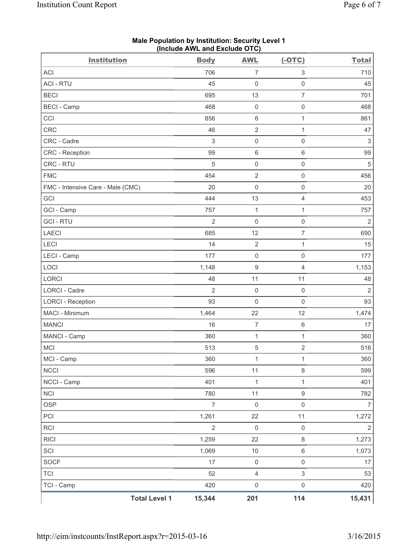| <b>Institution</b>                | <b>Body</b>    | <b>AWL</b>              | $(-OTC)$                  | <b>Total</b>              |
|-----------------------------------|----------------|-------------------------|---------------------------|---------------------------|
| <b>ACI</b>                        | 706            | $\overline{7}$          | 3                         | 710                       |
| <b>ACI - RTU</b>                  | 45             | $\mathsf{O}\xspace$     | $\mathsf{O}\xspace$       | 45                        |
| <b>BECI</b>                       | 695            | 13                      | $\overline{7}$            | 701                       |
| <b>BECI - Camp</b>                | 468            | $\mathbf 0$             | $\mathsf{O}\xspace$       | 468                       |
| CCI                               | 856            | $\,6\,$                 | $\mathbf{1}$              | 861                       |
| CRC                               | 46             | $\overline{2}$          | $\mathbf{1}$              | 47                        |
| CRC - Cadre                       | $\mathsf 3$    | $\mathsf{O}\xspace$     | $\mathsf{O}\xspace$       | $\ensuremath{\mathsf{3}}$ |
| CRC - Reception                   | 99             | $\,6$                   | $\,6\,$                   | 99                        |
| CRC - RTU                         | $\sqrt{5}$     | $\mathsf{O}\xspace$     | $\mathsf{O}\xspace$       | $\overline{5}$            |
| <b>FMC</b>                        | 454            | $\overline{2}$          | $\mathsf{O}\xspace$       | 456                       |
| FMC - Intensive Care - Male (CMC) | 20             | $\mathsf{O}\xspace$     | $\mathsf{O}\xspace$       | 20                        |
| GCI                               | 444            | 13                      | $\overline{4}$            | 453                       |
| GCI - Camp                        | 757            | $\mathbf{1}$            | 1                         | 757                       |
| <b>GCI - RTU</b>                  | $\overline{2}$ | $\mathbf 0$             | $\mathsf{O}\xspace$       | $\overline{2}$            |
| <b>LAECI</b>                      | 685            | 12                      | $\overline{7}$            | 690                       |
| LECI                              | 14             | $\sqrt{2}$              | $\mathbf{1}$              | 15                        |
| LECI - Camp                       | 177            | $\mathsf 0$             | $\mathsf{O}\xspace$       | 177                       |
| LOCI                              | 1,148          | 9                       | $\overline{4}$            | 1,153                     |
| <b>LORCI</b>                      | 48             | 11                      | 11                        | 48                        |
| <b>LORCI - Cadre</b>              | $\overline{2}$ | $\mathbf 0$             | $\mathsf{O}\xspace$       | $\overline{2}$            |
| <b>LORCI - Reception</b>          | 93             | $\mathsf{O}\xspace$     | $\mathsf{O}\xspace$       | 93                        |
| MACI - Minimum                    | 1,464          | 22                      | 12                        | 1,474                     |
| <b>MANCI</b>                      | 16             | $\overline{7}$          | $\,6\,$                   | 17                        |
| MANCI - Camp                      | 360            | $\mathbf{1}$            | $\mathbf{1}$              | 360                       |
| <b>MCI</b>                        | 513            | 5                       | $\overline{2}$            | 516                       |
| MCI - Camp                        | 360            | 1                       | 1                         | 360                       |
| <b>NCCI</b>                       | 596            | 11                      | $\,8\,$                   | 599                       |
| NCCI - Camp                       | 401            | $\mathbf 1$             | $\mathbf{1}$              | 401                       |
| <b>NCI</b>                        | 780            | 11                      | $\boldsymbol{9}$          | 782                       |
| <b>OSP</b>                        | $\overline{7}$ | $\mathbf 0$             | $\mathsf{O}\xspace$       | $\overline{7}$            |
| PCI                               | 1,261          | 22                      | 11                        | 1,272                     |
| <b>RCI</b>                        | $\overline{2}$ | $\mathbf 0$             | $\mathsf{O}\xspace$       | 2                         |
| <b>RICI</b>                       | 1,259          | 22                      | $\,8\,$                   | 1,273                     |
| SCI                               | 1,069          | $10$                    | $\,6\,$                   | 1,073                     |
| SOCF                              | 17             | $\mathsf{O}\xspace$     | $\mathsf 0$               | 17                        |
| <b>TCI</b>                        | 52             | $\overline{\mathbf{4}}$ | $\ensuremath{\mathsf{3}}$ | 53                        |
| TCI - Camp                        | 420            | $\mathbf 0$             | $\mathsf{O}\xspace$       | 420                       |
| <b>Total Level 1</b>              | 15,344         | 201                     | 114                       | 15,431                    |

#### **Male Population by Institution: Security Level 1 (Include AWL and Exclude OTC)**